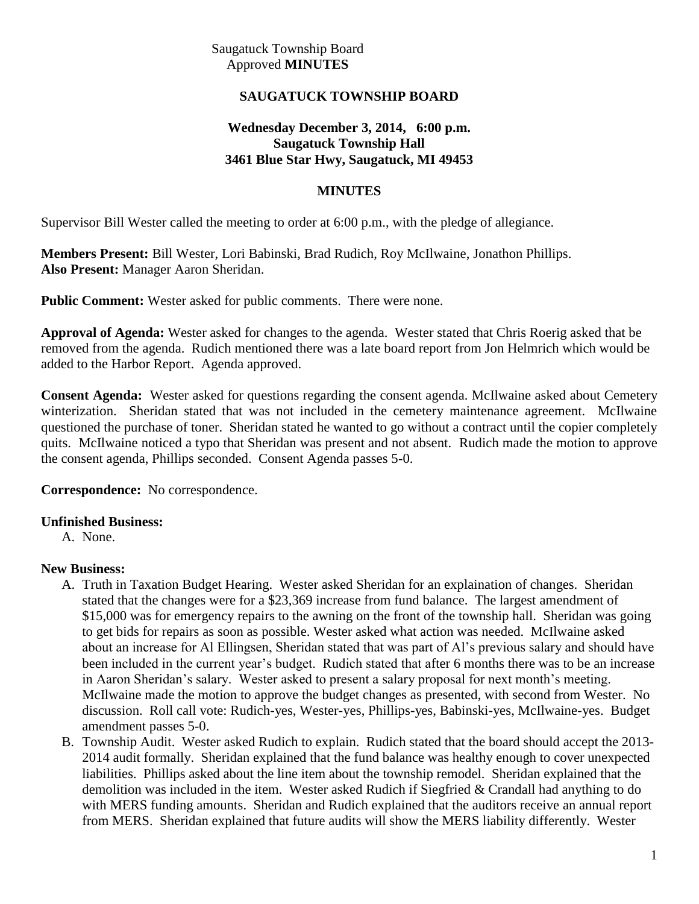Saugatuck Township Board Approved **MINUTES**

# **SAUGATUCK TOWNSHIP BOARD**

## **Wednesday December 3, 2014, 6:00 p.m. Saugatuck Township Hall 3461 Blue Star Hwy, Saugatuck, MI 49453**

## **MINUTES**

Supervisor Bill Wester called the meeting to order at 6:00 p.m., with the pledge of allegiance.

**Members Present:** Bill Wester, Lori Babinski, Brad Rudich, Roy McIlwaine, Jonathon Phillips. **Also Present:** Manager Aaron Sheridan.

**Public Comment:** Wester asked for public comments. There were none.

**Approval of Agenda:** Wester asked for changes to the agenda. Wester stated that Chris Roerig asked that be removed from the agenda. Rudich mentioned there was a late board report from Jon Helmrich which would be added to the Harbor Report. Agenda approved.

**Consent Agenda:** Wester asked for questions regarding the consent agenda. McIlwaine asked about Cemetery winterization. Sheridan stated that was not included in the cemetery maintenance agreement. McIlwaine questioned the purchase of toner. Sheridan stated he wanted to go without a contract until the copier completely quits. McIlwaine noticed a typo that Sheridan was present and not absent. Rudich made the motion to approve the consent agenda, Phillips seconded. Consent Agenda passes 5-0.

**Correspondence:** No correspondence.

#### **Unfinished Business:**

A. None.

#### **New Business:**

- A. Truth in Taxation Budget Hearing. Wester asked Sheridan for an explaination of changes. Sheridan stated that the changes were for a \$23,369 increase from fund balance. The largest amendment of \$15,000 was for emergency repairs to the awning on the front of the township hall. Sheridan was going to get bids for repairs as soon as possible. Wester asked what action was needed. McIlwaine asked about an increase for Al Ellingsen, Sheridan stated that was part of Al's previous salary and should have been included in the current year's budget. Rudich stated that after 6 months there was to be an increase in Aaron Sheridan's salary. Wester asked to present a salary proposal for next month's meeting. McIlwaine made the motion to approve the budget changes as presented, with second from Wester. No discussion. Roll call vote: Rudich-yes, Wester-yes, Phillips-yes, Babinski-yes, McIlwaine-yes. Budget amendment passes 5-0.
- B. Township Audit. Wester asked Rudich to explain. Rudich stated that the board should accept the 2013- 2014 audit formally. Sheridan explained that the fund balance was healthy enough to cover unexpected liabilities. Phillips asked about the line item about the township remodel. Sheridan explained that the demolition was included in the item. Wester asked Rudich if Siegfried & Crandall had anything to do with MERS funding amounts. Sheridan and Rudich explained that the auditors receive an annual report from MERS. Sheridan explained that future audits will show the MERS liability differently. Wester